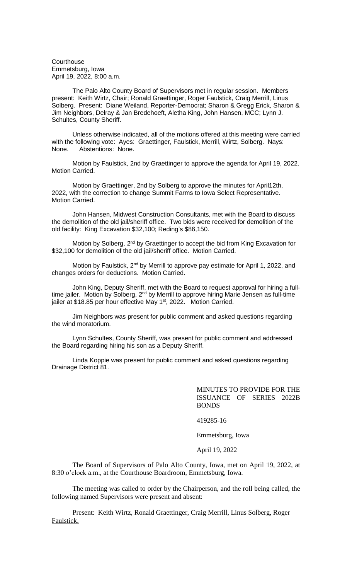**Courthouse** Emmetsburg, Iowa April 19, 2022, 8:00 a.m.

The Palo Alto County Board of Supervisors met in regular session. Members present: Keith Wirtz, Chair; Ronald Graettinger, Roger Faulstick, Craig Merrill, Linus Solberg. Present: Diane Weiland, Reporter-Democrat; Sharon & Gregg Erick, Sharon & Jim Neighbors, Delray & Jan Bredehoeft, Aletha King, John Hansen, MCC; Lynn J. Schultes, County Sheriff.

Unless otherwise indicated, all of the motions offered at this meeting were carried with the following vote: Ayes: Graettinger, Faulstick, Merrill, Wirtz, Solberg. Nays: None. Abstentions: None.

Motion by Faulstick, 2nd by Graettinger to approve the agenda for April 19, 2022. Motion Carried.

Motion by Graettinger, 2nd by Solberg to approve the minutes for April12th, 2022, with the correction to change Summit Farms to Iowa Select Representative. Motion Carried.

John Hansen, Midwest Construction Consultants, met with the Board to discuss the demolition of the old jail/sheriff office. Two bids were received for demolition of the old facility: King Excavation \$32,100; Reding's \$86,150.

Motion by Solberg, 2<sup>nd</sup> by Graettinger to accept the bid from King Excavation for \$32,100 for demolition of the old jail/sheriff office. Motion Carried.

Motion by Faulstick, 2<sup>nd</sup> by Merrill to approve pay estimate for April 1, 2022, and changes orders for deductions. Motion Carried.

John King, Deputy Sheriff, met with the Board to request approval for hiring a fulltime jailer. Motion by Solberg, 2<sup>nd</sup> by Merrill to approve hiring Marie Jensen as full-time jailer at \$18.85 per hour effective May 1<sup>st</sup>, 2022. Motion Carried.

Jim Neighbors was present for public comment and asked questions regarding the wind moratorium.

Lynn Schultes, County Sheriff, was present for public comment and addressed the Board regarding hiring his son as a Deputy Sheriff.

Linda Koppie was present for public comment and asked questions regarding Drainage District 81.

> MINUTES TO PROVIDE FOR THE ISSUANCE OF SERIES 2022B BONDS

419285-16

Emmetsburg, Iowa

April 19, 2022

The Board of Supervisors of Palo Alto County, Iowa, met on April 19, 2022, at 8:30 o'clock a.m., at the Courthouse Boardroom, Emmetsburg, Iowa.

The meeting was called to order by the Chairperson, and the roll being called, the following named Supervisors were present and absent:

Present: Keith Wirtz, Ronald Graettinger, Craig Merrill, Linus Solberg, Roger Faulstick.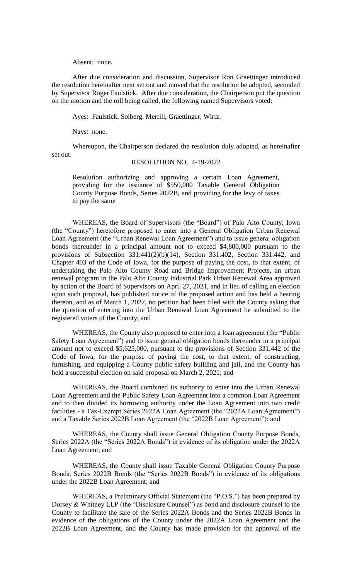### Absent: none.

After due consideration and discussion, Supervisor Ron Graettinger introduced the resolution hereinafter next set out and moved that the resolution be adopted, seconded by Supervisor Roger Faulstick. After due consideration, the Chairperson put the question on the motion and the roll being called, the following named Supervisors voted:

### Ayes: Faulstick, Solberg, Merrill, Graettinger, Wirtz.

Nays: none.

Whereupon, the Chairperson declared the resolution duly adopted, as hereinafter set out.

# RESOLUTION NO. 4-19-2022

Resolution authorizing and approving a certain Loan Agreement, providing for the issuance of \$550,000 Taxable General Obligation County Purpose Bonds, Series 2022B, and providing for the levy of taxes to pay the same

WHEREAS, the Board of Supervisors (the "Board") of Palo Alto County, Iowa (the "County") heretofore proposed to enter into a General Obligation Urban Renewal Loan Agreement (the "Urban Renewal Loan Agreement") and to issue general obligation bonds thereunder in a principal amount not to exceed \$4,800,000 pursuant to the provisions of Subsection 331.441(2)(b)(14), Section 331.402, Section 331.442, and Chapter 403 of the Code of Iowa, for the purpose of paying the cost, to that extent, of undertaking the Palo Alto County Road and Bridge Improvement Projects, an urban renewal program in the Palo Alto County Industrial Park Urban Renewal Area approved by action of the Board of Supervisors on April 27, 2021, and in lieu of calling an election upon such proposal, has published notice of the proposed action and has held a hearing thereon, and as of March 1, 2022, no petition had been filed with the County asking that the question of entering into the Urban Renewal Loan Agreement be submitted to the registered voters of the County; and

WHEREAS, the County also proposed to enter into a loan agreement (the "Public Safety Loan Agreement") and to issue general obligation bonds thereunder in a principal amount not to exceed \$5,625,000, pursuant to the provisions of Section 331.442 of the Code of Iowa, for the purpose of paying the cost, to that extent, of constructing, furnishing, and equipping a County public safety building and jail, and the County has held a successful election on said proposal on March 2, 2021; and

WHEREAS, the Board combined its authority to enter into the Urban Renewal Loan Agreement and the Public Safety Loan Agreement into a common Loan Agreement and to then divided its borrowing authority under the Loan Agreement into two credit facilities - a Tax-Exempt Series 2022A Loan Agreement (the "2022A Loan Agreement") and a Taxable Series 2022B Loan Agreement (the "2022B Loan Agreement"); and

WHEREAS, the County shall issue General Obligation County Purpose Bonds, Series 2022A (the "Series 2022A Bonds") in evidence of its obligation under the 2022A Loan Agreement; and

WHEREAS, the County shall issue Taxable General Obligation County Purpose Bonds, Series 2022B Bonds (the "Series 2022B Bonds") in evidence of its obligations under the 2022B Loan Agreement; and

WHEREAS, a Preliminary Official Statement (the "P.O.S.") has been prepared by Dorsey & Whitney LLP (the "Disclosure Counsel") as bond and disclosure counsel to the County to facilitate the sale of the Series 2022A Bonds and the Series 2022B Bonds in evidence of the obligations of the County under the 2022A Loan Agreement and the 2022B Loan Agreement, and the County has made provision for the approval of the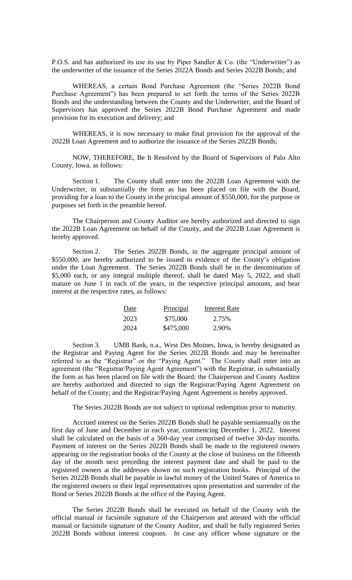P.O.S. and has authorized its use its use by Piper Sandler & Co. (the "Underwriter") as the underwriter of the issuance of the Series 2022A Bonds and Series 2022B Bonds; and

WHEREAS, a certain Bond Purchase Agreement (the "Series 2022B Bond Purchase Agreement") has been prepared to set forth the terms of the Series 2022B Bonds and the understanding between the County and the Underwriter, and the Board of Supervisors has approved the Series 2022B Bond Purchase Agreement and made provision for its execution and delivery; and

WHEREAS, it is now necessary to make final provision for the approval of the 2022B Loan Agreement and to authorize the issuance of the Series 2022B Bonds;

NOW, THEREFORE, Be It Resolved by the Board of Supervisors of Palo Alto County, Iowa, as follows:

Section 1. The County shall enter into the 2022B Loan Agreement with the Underwriter, in substantially the form as has been placed on file with the Board, providing for a loan to the County in the principal amount of \$550,000, for the purpose or purposes set forth in the preamble hereof.

The Chairperson and County Auditor are hereby authorized and directed to sign the 2022B Loan Agreement on behalf of the County, and the 2022B Loan Agreement is hereby approved.

Section 2. The Series 2022B Bonds, in the aggregate principal amount of \$550,000, are hereby authorized to be issued in evidence of the County's obligation under the Loan Agreement. The Series 2022B Bonds shall be in the denomination of \$5,000 each, or any integral multiple thereof, shall be dated May 5, 2022, and shall mature on June 1 in each of the years, in the respective principal amounts, and bear interest at the respective rates, as follows:

| Date | Principal | Interest Rate |
|------|-----------|---------------|
| 2023 | \$75,000  | 2.75%         |
| 2024 | \$475,000 | 2.90%         |

Section 3. UMB Bank, n.a., West Des Moines, Iowa, is hereby designated as the Registrar and Paying Agent for the Series 2022B Bonds and may be hereinafter referred to as the "Registrar" or the "Paying Agent." The County shall enter into an agreement (the "Registrar/Paying Agent Agreement") with the Registrar, in substantially the form as has been placed on file with the Board; the Chairperson and County Auditor are hereby authorized and directed to sign the Registrar/Paying Agent Agreement on behalf of the County; and the Registrar/Paying Agent Agreement is hereby approved.

The Series 2022B Bonds are not subject to optional redemption prior to maturity.

Accrued interest on the Series 2022B Bonds shall be payable semiannually on the first day of June and December in each year, commencing December 1, 2022. Interest shall be calculated on the basis of a 360-day year comprised of twelve 30-day months. Payment of interest on the Series 2022B Bonds shall be made to the registered owners appearing on the registration books of the County at the close of business on the fifteenth day of the month next preceding the interest payment date and shall be paid to the registered owners at the addresses shown on such registration books. Principal of the Series 2022B Bonds shall be payable in lawful money of the United States of America to the registered owners or their legal representatives upon presentation and surrender of the Bond or Series 2022B Bonds at the office of the Paying Agent.

The Series 2022B Bonds shall be executed on behalf of the County with the official manual or facsimile signature of the Chairperson and attested with the official manual or facsimile signature of the County Auditor, and shall be fully registered Series 2022B Bonds without interest coupons. In case any officer whose signature or the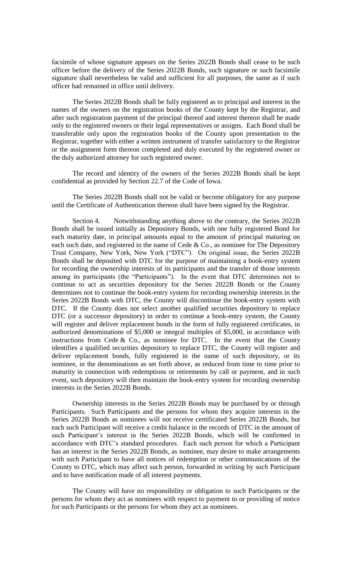facsimile of whose signature appears on the Series 2022B Bonds shall cease to be such officer before the delivery of the Series 2022B Bonds, such signature or such facsimile signature shall nevertheless be valid and sufficient for all purposes, the same as if such officer had remained in office until delivery.

The Series 2022B Bonds shall be fully registered as to principal and interest in the names of the owners on the registration books of the County kept by the Registrar, and after such registration payment of the principal thereof and interest thereon shall be made only to the registered owners or their legal representatives or assigns. Each Bond shall be transferable only upon the registration books of the County upon presentation to the Registrar, together with either a written instrument of transfer satisfactory to the Registrar or the assignment form thereon completed and duly executed by the registered owner or the duly authorized attorney for such registered owner.

The record and identity of the owners of the Series 2022B Bonds shall be kept confidential as provided by Section 22.7 of the Code of Iowa.

The Series 2022B Bonds shall not be valid or become obligatory for any purpose until the Certificate of Authentication thereon shall have been signed by the Registrar.

Section 4. Notwithstanding anything above to the contrary, the Series 2022B Bonds shall be issued initially as Depository Bonds, with one fully registered Bond for each maturity date, in principal amounts equal to the amount of principal maturing on each such date, and registered in the name of Cede  $& Co.,$  as nominee for The Depository Trust Company, New York, New York ("DTC"). On original issue, the Series 2022B Bonds shall be deposited with DTC for the purpose of maintaining a book-entry system for recording the ownership interests of its participants and the transfer of those interests among its participants (the "Participants"). In the event that DTC determines not to continue to act as securities depository for the Series 2022B Bonds or the County determines not to continue the book-entry system for recording ownership interests in the Series 2022B Bonds with DTC, the County will discontinue the book-entry system with DTC. If the County does not select another qualified securities depository to replace DTC (or a successor depository) in order to continue a book-entry system, the County will register and deliver replacement bonds in the form of fully registered certificates, in authorized denominations of \$5,000 or integral multiples of \$5,000, in accordance with instructions from Cede  $&$  Co., as nominee for DTC. In the event that the County identifies a qualified securities depository to replace DTC, the County will register and deliver replacement bonds, fully registered in the name of such depository, or its nominee, in the denominations as set forth above, as reduced from time to time prior to maturity in connection with redemptions or retirements by call or payment, and in such event, such depository will then maintain the book-entry system for recording ownership interests in the Series 2022B Bonds.

Ownership interests in the Series 2022B Bonds may be purchased by or through Participants. Such Participants and the persons for whom they acquire interests in the Series 2022B Bonds as nominees will not receive certificated Series 2022B Bonds, but each such Participant will receive a credit balance in the records of DTC in the amount of such Participant's interest in the Series 2022B Bonds, which will be confirmed in accordance with DTC's standard procedures. Each such person for which a Participant has an interest in the Series 2022B Bonds, as nominee, may desire to make arrangements with such Participant to have all notices of redemption or other communications of the County to DTC, which may affect such person, forwarded in writing by such Participant and to have notification made of all interest payments.

The County will have no responsibility or obligation to such Participants or the persons for whom they act as nominees with respect to payment to or providing of notice for such Participants or the persons for whom they act as nominees.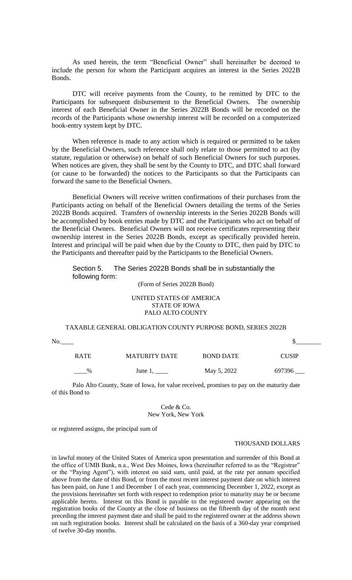As used herein, the term "Beneficial Owner" shall hereinafter be deemed to include the person for whom the Participant acquires an interest in the Series 2022B Bonds.

DTC will receive payments from the County, to be remitted by DTC to the Participants for subsequent disbursement to the Beneficial Owners. The ownership interest of each Beneficial Owner in the Series 2022B Bonds will be recorded on the records of the Participants whose ownership interest will be recorded on a computerized book-entry system kept by DTC.

When reference is made to any action which is required or permitted to be taken by the Beneficial Owners, such reference shall only relate to those permitted to act (by statute, regulation or otherwise) on behalf of such Beneficial Owners for such purposes. When notices are given, they shall be sent by the County to DTC, and DTC shall forward (or cause to be forwarded) the notices to the Participants so that the Participants can forward the same to the Beneficial Owners.

Beneficial Owners will receive written confirmations of their purchases from the Participants acting on behalf of the Beneficial Owners detailing the terms of the Series 2022B Bonds acquired. Transfers of ownership interests in the Series 2022B Bonds will be accomplished by book entries made by DTC and the Participants who act on behalf of the Beneficial Owners. Beneficial Owners will not receive certificates representing their ownership interest in the Series 2022B Bonds, except as specifically provided herein. Interest and principal will be paid when due by the County to DTC, then paid by DTC to the Participants and thereafter paid by the Participants to the Beneficial Owners.

Section 5. The Series 2022B Bonds shall be in substantially the following form:

## (Form of Series 2022B Bond)

# UNITED STATES OF AMERICA STATE OF IOWA PALO ALTO COUNTY

# TAXABLE GENERAL OBLIGATION COUNTY PURPOSE BOND, SERIES 2022B

No.\_\_\_\_ \$\_\_\_\_\_\_\_\_

| <b>RATE</b>   | <b>MATURITY DATE</b> | <b>BOND DATE</b> | <b>CUSIP</b> |
|---------------|----------------------|------------------|--------------|
| $\frac{9}{6}$ | June 1,              | May 5, 2022      | 697396       |

Palo Alto County, State of Iowa, for value received, promises to pay on the maturity date of this Bond to

### Cede & Co. New York, New York

or registered assigns, the principal sum of

### THOUSAND DOLLARS

in lawful money of the United States of America upon presentation and surrender of this Bond at the office of UMB Bank, n.a., West Des Moines, Iowa (hereinafter referred to as the "Registrar" or the "Paying Agent"), with interest on said sum, until paid, at the rate per annum specified above from the date of this Bond, or from the most recent interest payment date on which interest has been paid, on June 1 and December 1 of each year, commencing December 1, 2022, except as the provisions hereinafter set forth with respect to redemption prior to maturity may be or become applicable hereto. Interest on this Bond is payable to the registered owner appearing on the registration books of the County at the close of business on the fifteenth day of the month next preceding the interest payment date and shall be paid to the registered owner at the address shown on such registration books. Interest shall be calculated on the basis of a 360-day year comprised of twelve 30-day months.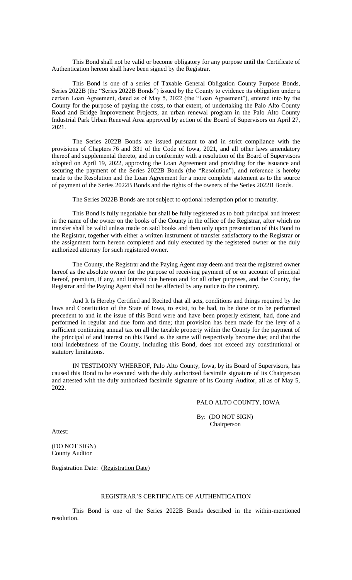This Bond shall not be valid or become obligatory for any purpose until the Certificate of Authentication hereon shall have been signed by the Registrar.

This Bond is one of a series of Taxable General Obligation County Purpose Bonds, Series 2022B (the "Series 2022B Bonds") issued by the County to evidence its obligation under a certain Loan Agreement, dated as of May 5, 2022 (the "Loan Agreement"), entered into by the County for the purpose of paying the costs, to that extent, of undertaking the Palo Alto County Road and Bridge Improvement Projects, an urban renewal program in the Palo Alto County Industrial Park Urban Renewal Area approved by action of the Board of Supervisors on April 27, 2021.

The Series 2022B Bonds are issued pursuant to and in strict compliance with the provisions of Chapters 76 and 331 of the Code of Iowa, 2021, and all other laws amendatory thereof and supplemental thereto, and in conformity with a resolution of the Board of Supervisors adopted on April 19, 2022, approving the Loan Agreement and providing for the issuance and securing the payment of the Series 2022B Bonds (the "Resolution"), and reference is hereby made to the Resolution and the Loan Agreement for a more complete statement as to the source of payment of the Series 2022B Bonds and the rights of the owners of the Series 2022B Bonds.

The Series 2022B Bonds are not subject to optional redemption prior to maturity.

This Bond is fully negotiable but shall be fully registered as to both principal and interest in the name of the owner on the books of the County in the office of the Registrar, after which no transfer shall be valid unless made on said books and then only upon presentation of this Bond to the Registrar, together with either a written instrument of transfer satisfactory to the Registrar or the assignment form hereon completed and duly executed by the registered owner or the duly authorized attorney for such registered owner.

The County, the Registrar and the Paying Agent may deem and treat the registered owner hereof as the absolute owner for the purpose of receiving payment of or on account of principal hereof, premium, if any, and interest due hereon and for all other purposes, and the County, the Registrar and the Paying Agent shall not be affected by any notice to the contrary.

And It Is Hereby Certified and Recited that all acts, conditions and things required by the laws and Constitution of the State of Iowa, to exist, to be had, to be done or to be performed precedent to and in the issue of this Bond were and have been properly existent, had, done and performed in regular and due form and time; that provision has been made for the levy of a sufficient continuing annual tax on all the taxable property within the County for the payment of the principal of and interest on this Bond as the same will respectively become due; and that the total indebtedness of the County, including this Bond, does not exceed any constitutional or statutory limitations.

IN TESTIMONY WHEREOF, Palo Alto County, Iowa, by its Board of Supervisors, has caused this Bond to be executed with the duly authorized facsimile signature of its Chairperson and attested with the duly authorized facsimile signature of its County Auditor, all as of May 5, 2022.

### PALO ALTO COUNTY, IOWA

By: (DO NOT SIGN) Chairperson

Attest:

(DO NOT SIGN) County Auditor

Registration Date: (Registration Date)

### REGISTRAR'S CERTIFICATE OF AUTHENTICATION

This Bond is one of the Series 2022B Bonds described in the within-mentioned resolution.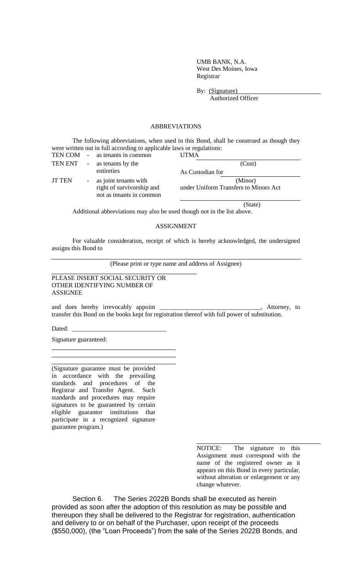UMB BANK, N.A. West Des Moines, Iowa Registrar

By: (Signature)

Authorized Officer

(State)

# ABBREVIATIONS

The following abbreviations, when used in this Bond, shall be construed as though they were written out in full according to applicable laws or regulations:

|               |            | TEN COM - as tenants in common                                                   | UTMA                                             |
|---------------|------------|----------------------------------------------------------------------------------|--------------------------------------------------|
| TEN ENT       | $\sim$ $-$ | as tenants by the                                                                | (Cust)                                           |
|               |            | entireties                                                                       | As Custodian for                                 |
| <b>JT TEN</b> |            | - as joint tenants with<br>right of survivorship and<br>not as tenants in common | (Minor)<br>under Uniform Transfers to Minors Act |

Additional abbreviations may also be used though not in the list above.

# ASSIGNMENT

For valuable consideration, receipt of which is hereby acknowledged, the undersigned assigns this Bond to

(Please print or type name and address of Assignee)

PLEASE INSERT SOCIAL SECURITY OR OTHER IDENTIFYING NUMBER OF ASSIGNEE

and does hereby irrevocably appoint \_\_\_\_\_\_\_\_\_\_\_\_\_\_\_\_\_\_\_\_\_\_\_\_\_\_\_\_\_\_\_, Attorney, to transfer this Bond on the books kept for registration thereof with full power of substitution.

Dated:

Signature guaranteed:

(Signature guarantee must be provided in accordance with the prevailing standards and procedures of the Registrar and Transfer Agent. Such standards and procedures may require signatures to be guaranteed by certain eligible guarantor institutions that participate in a recognized signature guarantee program.)

> NOTICE: The signature to this Assignment must correspond with the name of the registered owner as it appears on this Bond in every particular, without alteration or enlargement or any change whatever.

Section 6. The Series 2022B Bonds shall be executed as herein provided as soon after the adoption of this resolution as may be possible and thereupon they shall be delivered to the Registrar for registration, authentication and delivery to or on behalf of the Purchaser, upon receipt of the proceeds (\$550,000), (the "Loan Proceeds") from the sale of the Series 2022B Bonds, and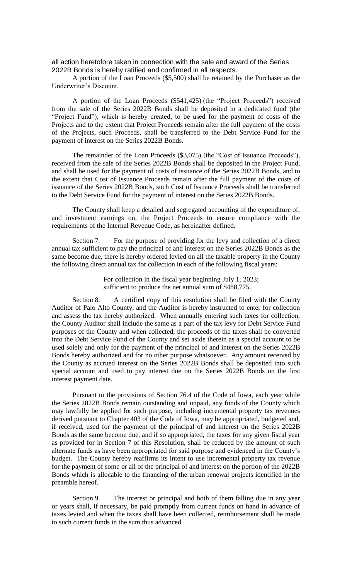all action heretofore taken in connection with the sale and award of the Series 2022B Bonds is hereby ratified and confirmed in all respects.

A portion of the Loan Proceeds (\$5,500) shall be retained by the Purchaser as the Underwriter's Discount.

A portion of the Loan Proceeds (\$541,425) (the "Project Proceeds") received from the sale of the Series 2022B Bonds shall be deposited in a dedicated fund (the "Project Fund"), which is hereby created, to be used for the payment of costs of the Projects and to the extent that Project Proceeds remain after the full payment of the costs of the Projects, such Proceeds, shall be transferred to the Debt Service Fund for the payment of interest on the Series 2022B Bonds.

The remainder of the Loan Proceeds (\$3,075) (the "Cost of Issuance Proceeds"), received from the sale of the Series 2022B Bonds shall be deposited in the Project Fund, and shall be used for the payment of costs of issuance of the Series 2022B Bonds, and to the extent that Cost of Issuance Proceeds remain after the full payment of the costs of issuance of the Series 2022B Bonds, such Cost of Issuance Proceeds shall be transferred to the Debt Service Fund for the payment of interest on the Series 2022B Bonds.

The County shall keep a detailed and segregated accounting of the expenditure of, and investment earnings on, the Project Proceeds to ensure compliance with the requirements of the Internal Revenue Code, as hereinafter defined.

Section 7. For the purpose of providing for the levy and collection of a direct annual tax sufficient to pay the principal of and interest on the Series 2022B Bonds as the same become due, there is hereby ordered levied on all the taxable property in the County the following direct annual tax for collection in each of the following fiscal years:

> For collection in the fiscal year beginning July 1, 2023; sufficient to produce the net annual sum of \$488,775.

Section 8. A certified copy of this resolution shall be filed with the County Auditor of Palo Alto County, and the Auditor is hereby instructed to enter for collection and assess the tax hereby authorized. When annually entering such taxes for collection, the County Auditor shall include the same as a part of the tax levy for Debt Service Fund purposes of the County and when collected, the proceeds of the taxes shall be converted into the Debt Service Fund of the County and set aside therein as a special account to be used solely and only for the payment of the principal of and interest on the Series 2022B Bonds hereby authorized and for no other purpose whatsoever. Any amount received by the County as accrued interest on the Series 2022B Bonds shall be deposited into such special account and used to pay interest due on the Series 2022B Bonds on the first interest payment date.

Pursuant to the provisions of Section 76.4 of the Code of Iowa, each year while the Series 2022B Bonds remain outstanding and unpaid, any funds of the County which may lawfully be applied for such purpose, including incremental property tax revenues derived pursuant to Chapter 403 of the Code of Iowa, may be appropriated, budgeted and, if received, used for the payment of the principal of and interest on the Series 2022B Bonds as the same become due, and if so appropriated, the taxes for any given fiscal year as provided for in Section 7 of this Resolution, shall be reduced by the amount of such alternate funds as have been appropriated for said purpose and evidenced in the County's budget. The County hereby reaffirms its intent to use incremental property tax revenue for the payment of some or all of the principal of and interest on the portion of the 2022B Bonds which is allocable to the financing of the urban renewal projects identified in the preamble hereof.

Section 9. The interest or principal and both of them falling due in any year or years shall, if necessary, be paid promptly from current funds on hand in advance of taxes levied and when the taxes shall have been collected, reimbursement shall be made to such current funds in the sum thus advanced.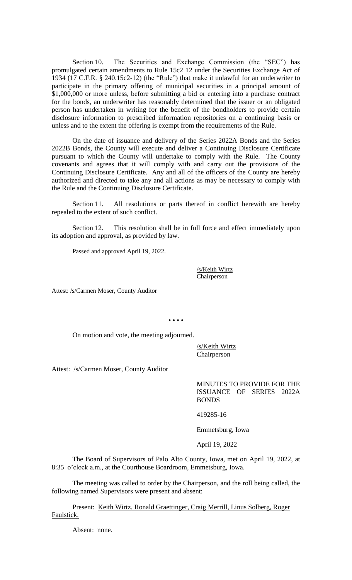Section 10. The Securities and Exchange Commission (the "SEC") has promulgated certain amendments to Rule 15c2 12 under the Securities Exchange Act of 1934 (17 C.F.R. § 240.15c2-12) (the "Rule") that make it unlawful for an underwriter to participate in the primary offering of municipal securities in a principal amount of \$1,000,000 or more unless, before submitting a bid or entering into a purchase contract for the bonds, an underwriter has reasonably determined that the issuer or an obligated person has undertaken in writing for the benefit of the bondholders to provide certain disclosure information to prescribed information repositories on a continuing basis or unless and to the extent the offering is exempt from the requirements of the Rule.

On the date of issuance and delivery of the Series 2022A Bonds and the Series 2022B Bonds, the County will execute and deliver a Continuing Disclosure Certificate pursuant to which the County will undertake to comply with the Rule. The County covenants and agrees that it will comply with and carry out the provisions of the Continuing Disclosure Certificate. Any and all of the officers of the County are hereby authorized and directed to take any and all actions as may be necessary to comply with the Rule and the Continuing Disclosure Certificate.

Section 11. All resolutions or parts thereof in conflict herewith are hereby repealed to the extent of such conflict.

Section 12. This resolution shall be in full force and effect immediately upon its adoption and approval, as provided by law.

Passed and approved April 19, 2022.

/s/Keith Wirtz Chairperson

Attest: /s/Carmen Moser, County Auditor

• • • •

On motion and vote, the meeting adjourned.

/s/Keith Wirtz Chairperson

Attest: /s/Carmen Moser, County Auditor

MINUTES TO PROVIDE FOR THE ISSUANCE OF SERIES 2022A BONDS

419285-16

Emmetsburg, Iowa

April 19, 2022

The Board of Supervisors of Palo Alto County, Iowa, met on April 19, 2022, at 8:35 o'clock a.m., at the Courthouse Boardroom, Emmetsburg, Iowa.

The meeting was called to order by the Chairperson, and the roll being called, the following named Supervisors were present and absent:

Present: Keith Wirtz, Ronald Graettinger, Craig Merrill, Linus Solberg, Roger Faulstick.

Absent: none.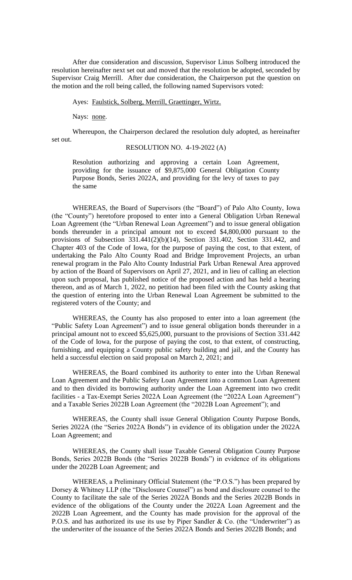After due consideration and discussion, Supervisor Linus Solberg introduced the resolution hereinafter next set out and moved that the resolution be adopted, seconded by Supervisor Craig Merrill. After due consideration, the Chairperson put the question on the motion and the roll being called, the following named Supervisors voted:

Ayes: Faulstick, Solberg, Merrill, Graettinger, Wirtz.

Nays: none.

Whereupon, the Chairperson declared the resolution duly adopted, as hereinafter set out.

# RESOLUTION NO. 4-19-2022 (A)

Resolution authorizing and approving a certain Loan Agreement, providing for the issuance of \$9,875,000 General Obligation County Purpose Bonds, Series 2022A, and providing for the levy of taxes to pay the same

WHEREAS, the Board of Supervisors (the "Board") of Palo Alto County, Iowa (the "County") heretofore proposed to enter into a General Obligation Urban Renewal Loan Agreement (the "Urban Renewal Loan Agreement") and to issue general obligation bonds thereunder in a principal amount not to exceed \$4,800,000 pursuant to the provisions of Subsection 331.441(2)(b)(14), Section 331.402, Section 331.442, and Chapter 403 of the Code of Iowa, for the purpose of paying the cost, to that extent, of undertaking the Palo Alto County Road and Bridge Improvement Projects, an urban renewal program in the Palo Alto County Industrial Park Urban Renewal Area approved by action of the Board of Supervisors on April 27, 2021, and in lieu of calling an election upon such proposal, has published notice of the proposed action and has held a hearing thereon, and as of March 1, 2022, no petition had been filed with the County asking that the question of entering into the Urban Renewal Loan Agreement be submitted to the registered voters of the County; and

WHEREAS, the County has also proposed to enter into a loan agreement (the "Public Safety Loan Agreement") and to issue general obligation bonds thereunder in a principal amount not to exceed \$5,625,000, pursuant to the provisions of Section 331.442 of the Code of Iowa, for the purpose of paying the cost, to that extent, of constructing, furnishing, and equipping a County public safety building and jail, and the County has held a successful election on said proposal on March 2, 2021; and

WHEREAS, the Board combined its authority to enter into the Urban Renewal Loan Agreement and the Public Safety Loan Agreement into a common Loan Agreement and to then divided its borrowing authority under the Loan Agreement into two credit facilities - a Tax-Exempt Series 2022A Loan Agreement (the "2022A Loan Agreement") and a Taxable Series 2022B Loan Agreement (the "2022B Loan Agreement"); and

WHEREAS, the County shall issue General Obligation County Purpose Bonds, Series 2022A (the "Series 2022A Bonds") in evidence of its obligation under the 2022A Loan Agreement; and

WHEREAS, the County shall issue Taxable General Obligation County Purpose Bonds, Series 2022B Bonds (the "Series 2022B Bonds") in evidence of its obligations under the 2022B Loan Agreement; and

WHEREAS, a Preliminary Official Statement (the "P.O.S.") has been prepared by Dorsey & Whitney LLP (the "Disclosure Counsel") as bond and disclosure counsel to the County to facilitate the sale of the Series 2022A Bonds and the Series 2022B Bonds in evidence of the obligations of the County under the 2022A Loan Agreement and the 2022B Loan Agreement, and the County has made provision for the approval of the P.O.S. and has authorized its use its use by Piper Sandler & Co. (the "Underwriter") as the underwriter of the issuance of the Series 2022A Bonds and Series 2022B Bonds; and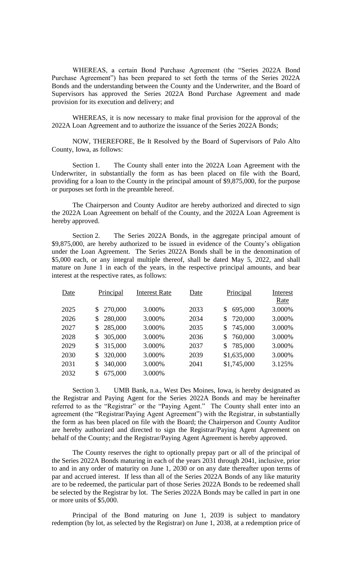WHEREAS, a certain Bond Purchase Agreement (the "Series 2022A Bond Purchase Agreement") has been prepared to set forth the terms of the Series 2022A Bonds and the understanding between the County and the Underwriter, and the Board of Supervisors has approved the Series 2022A Bond Purchase Agreement and made provision for its execution and delivery; and

WHEREAS, it is now necessary to make final provision for the approval of the 2022A Loan Agreement and to authorize the issuance of the Series 2022A Bonds;

NOW, THEREFORE, Be It Resolved by the Board of Supervisors of Palo Alto County, Iowa, as follows:

Section 1. The County shall enter into the 2022A Loan Agreement with the Underwriter, in substantially the form as has been placed on file with the Board, providing for a loan to the County in the principal amount of \$9,875,000, for the purpose or purposes set forth in the preamble hereof.

The Chairperson and County Auditor are hereby authorized and directed to sign the 2022A Loan Agreement on behalf of the County, and the 2022A Loan Agreement is hereby approved.

Section 2. The Series 2022A Bonds, in the aggregate principal amount of \$9,875,000, are hereby authorized to be issued in evidence of the County's obligation under the Loan Agreement. The Series 2022A Bonds shall be in the denomination of \$5,000 each, or any integral multiple thereof, shall be dated May 5, 2022, and shall mature on June 1 in each of the years, in the respective principal amounts, and bear interest at the respective rates, as follows:

| Date | Principal     | <b>Interest Rate</b> | Date | Principal     | Interest |
|------|---------------|----------------------|------|---------------|----------|
|      |               |                      |      |               | Rate     |
| 2025 | \$270,000     | 3.000%               | 2033 | 695,000<br>\$ | 3.000%   |
| 2026 | \$280,000     | 3.000%               | 2034 | \$720,000     | 3.000%   |
| 2027 | 285,000<br>\$ | 3.000%               | 2035 | 745,000<br>\$ | 3.000%   |
| 2028 | 305,000<br>\$ | 3.000%               | 2036 | 760,000<br>\$ | 3.000%   |
| 2029 | 315,000<br>\$ | 3.000%               | 2037 | \$785,000     | 3.000%   |
| 2030 | 320,000<br>\$ | 3.000%               | 2039 | \$1,635,000   | 3.000%   |
| 2031 | 340,000<br>\$ | 3.000%               | 2041 | \$1,745,000   | 3.125%   |
| 2032 | 675,000<br>\$ | 3.000%               |      |               |          |

Section 3. UMB Bank, n.a., West Des Moines, Iowa, is hereby designated as the Registrar and Paying Agent for the Series 2022A Bonds and may be hereinafter referred to as the "Registrar" or the "Paying Agent." The County shall enter into an agreement (the "Registrar/Paying Agent Agreement") with the Registrar, in substantially the form as has been placed on file with the Board; the Chairperson and County Auditor are hereby authorized and directed to sign the Registrar/Paying Agent Agreement on behalf of the County; and the Registrar/Paying Agent Agreement is hereby approved.

The County reserves the right to optionally prepay part or all of the principal of the Series 2022A Bonds maturing in each of the years 2031 through 2041, inclusive, prior to and in any order of maturity on June 1, 2030 or on any date thereafter upon terms of par and accrued interest. If less than all of the Series 2022A Bonds of any like maturity are to be redeemed, the particular part of those Series 2022A Bonds to be redeemed shall be selected by the Registrar by lot. The Series 2022A Bonds may be called in part in one or more units of \$5,000.

Principal of the Bond maturing on June 1, 2039 is subject to mandatory redemption (by lot, as selected by the Registrar) on June 1, 2038, at a redemption price of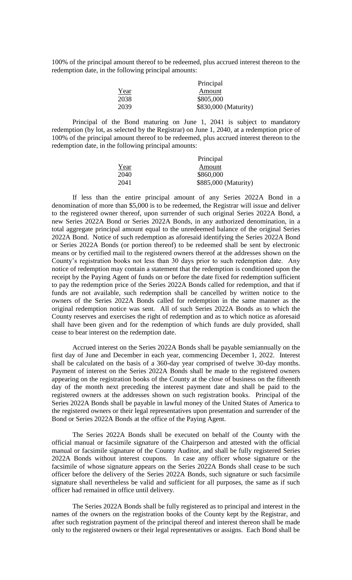100% of the principal amount thereof to be redeemed, plus accrued interest thereon to the redemption date, in the following principal amounts:

|      | Principal            |
|------|----------------------|
| Year | Amount               |
| 2038 | \$805,000            |
| 2039 | \$830,000 (Maturity) |

Principal of the Bond maturing on June 1, 2041 is subject to mandatory redemption (by lot, as selected by the Registrar) on June 1, 2040, at a redemption price of 100% of the principal amount thereof to be redeemed, plus accrued interest thereon to the redemption date, in the following principal amounts:

|      | Principal            |
|------|----------------------|
| Year | Amount               |
| 2040 | \$860,000            |
| 2041 | \$885,000 (Maturity) |

If less than the entire principal amount of any Series 2022A Bond in a denomination of more than \$5,000 is to be redeemed, the Registrar will issue and deliver to the registered owner thereof, upon surrender of such original Series 2022A Bond, a new Series 2022A Bond or Series 2022A Bonds, in any authorized denomination, in a total aggregate principal amount equal to the unredeemed balance of the original Series 2022A Bond. Notice of such redemption as aforesaid identifying the Series 2022A Bond or Series 2022A Bonds (or portion thereof) to be redeemed shall be sent by electronic means or by certified mail to the registered owners thereof at the addresses shown on the County's registration books not less than 30 days prior to such redemption date. Any notice of redemption may contain a statement that the redemption is conditioned upon the receipt by the Paying Agent of funds on or before the date fixed for redemption sufficient to pay the redemption price of the Series 2022A Bonds called for redemption, and that if funds are not available, such redemption shall be cancelled by written notice to the owners of the Series 2022A Bonds called for redemption in the same manner as the original redemption notice was sent. All of such Series 2022A Bonds as to which the County reserves and exercises the right of redemption and as to which notice as aforesaid shall have been given and for the redemption of which funds are duly provided, shall cease to bear interest on the redemption date.

Accrued interest on the Series 2022A Bonds shall be payable semiannually on the first day of June and December in each year, commencing December 1, 2022. Interest shall be calculated on the basis of a 360-day year comprised of twelve 30-day months. Payment of interest on the Series 2022A Bonds shall be made to the registered owners appearing on the registration books of the County at the close of business on the fifteenth day of the month next preceding the interest payment date and shall be paid to the registered owners at the addresses shown on such registration books. Principal of the Series 2022A Bonds shall be payable in lawful money of the United States of America to the registered owners or their legal representatives upon presentation and surrender of the Bond or Series 2022A Bonds at the office of the Paying Agent.

The Series 2022A Bonds shall be executed on behalf of the County with the official manual or facsimile signature of the Chairperson and attested with the official manual or facsimile signature of the County Auditor, and shall be fully registered Series 2022A Bonds without interest coupons. In case any officer whose signature or the facsimile of whose signature appears on the Series 2022A Bonds shall cease to be such officer before the delivery of the Series 2022A Bonds, such signature or such facsimile signature shall nevertheless be valid and sufficient for all purposes, the same as if such officer had remained in office until delivery.

The Series 2022A Bonds shall be fully registered as to principal and interest in the names of the owners on the registration books of the County kept by the Registrar, and after such registration payment of the principal thereof and interest thereon shall be made only to the registered owners or their legal representatives or assigns. Each Bond shall be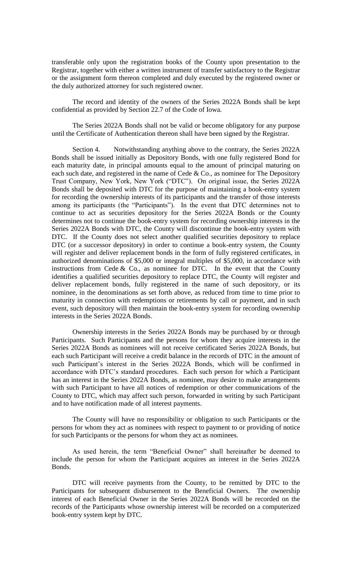transferable only upon the registration books of the County upon presentation to the Registrar, together with either a written instrument of transfer satisfactory to the Registrar or the assignment form thereon completed and duly executed by the registered owner or the duly authorized attorney for such registered owner.

The record and identity of the owners of the Series 2022A Bonds shall be kept confidential as provided by Section 22.7 of the Code of Iowa.

The Series 2022A Bonds shall not be valid or become obligatory for any purpose until the Certificate of Authentication thereon shall have been signed by the Registrar.

Section 4. Notwithstanding anything above to the contrary, the Series 2022A Bonds shall be issued initially as Depository Bonds, with one fully registered Bond for each maturity date, in principal amounts equal to the amount of principal maturing on each such date, and registered in the name of Cede  $& Co.,$  as nominee for The Depository Trust Company, New York, New York ("DTC"). On original issue, the Series 2022A Bonds shall be deposited with DTC for the purpose of maintaining a book-entry system for recording the ownership interests of its participants and the transfer of those interests among its participants (the "Participants"). In the event that DTC determines not to continue to act as securities depository for the Series 2022A Bonds or the County determines not to continue the book-entry system for recording ownership interests in the Series 2022A Bonds with DTC, the County will discontinue the book-entry system with DTC. If the County does not select another qualified securities depository to replace DTC (or a successor depository) in order to continue a book-entry system, the County will register and deliver replacement bonds in the form of fully registered certificates, in authorized denominations of \$5,000 or integral multiples of \$5,000, in accordance with instructions from Cede  $\&$  Co., as nominee for DTC. In the event that the County identifies a qualified securities depository to replace DTC, the County will register and deliver replacement bonds, fully registered in the name of such depository, or its nominee, in the denominations as set forth above, as reduced from time to time prior to maturity in connection with redemptions or retirements by call or payment, and in such event, such depository will then maintain the book-entry system for recording ownership interests in the Series 2022A Bonds.

Ownership interests in the Series 2022A Bonds may be purchased by or through Participants. Such Participants and the persons for whom they acquire interests in the Series 2022A Bonds as nominees will not receive certificated Series 2022A Bonds, but each such Participant will receive a credit balance in the records of DTC in the amount of such Participant's interest in the Series 2022A Bonds, which will be confirmed in accordance with DTC's standard procedures. Each such person for which a Participant has an interest in the Series 2022A Bonds, as nominee, may desire to make arrangements with such Participant to have all notices of redemption or other communications of the County to DTC, which may affect such person, forwarded in writing by such Participant and to have notification made of all interest payments.

The County will have no responsibility or obligation to such Participants or the persons for whom they act as nominees with respect to payment to or providing of notice for such Participants or the persons for whom they act as nominees.

As used herein, the term "Beneficial Owner" shall hereinafter be deemed to include the person for whom the Participant acquires an interest in the Series 2022A Bonds.

DTC will receive payments from the County, to be remitted by DTC to the Participants for subsequent disbursement to the Beneficial Owners. The ownership interest of each Beneficial Owner in the Series 2022A Bonds will be recorded on the records of the Participants whose ownership interest will be recorded on a computerized book-entry system kept by DTC.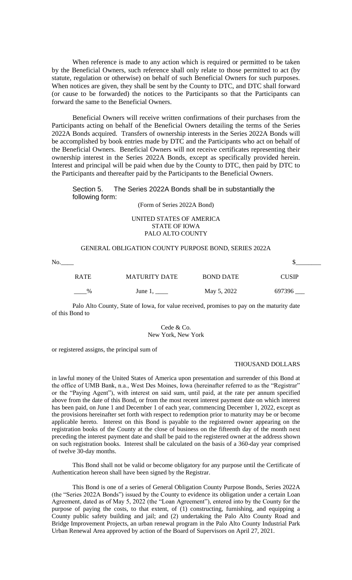When reference is made to any action which is required or permitted to be taken by the Beneficial Owners, such reference shall only relate to those permitted to act (by statute, regulation or otherwise) on behalf of such Beneficial Owners for such purposes. When notices are given, they shall be sent by the County to DTC, and DTC shall forward (or cause to be forwarded) the notices to the Participants so that the Participants can forward the same to the Beneficial Owners.

Beneficial Owners will receive written confirmations of their purchases from the Participants acting on behalf of the Beneficial Owners detailing the terms of the Series 2022A Bonds acquired. Transfers of ownership interests in the Series 2022A Bonds will be accomplished by book entries made by DTC and the Participants who act on behalf of the Beneficial Owners. Beneficial Owners will not receive certificates representing their ownership interest in the Series 2022A Bonds, except as specifically provided herein. Interest and principal will be paid when due by the County to DTC, then paid by DTC to the Participants and thereafter paid by the Participants to the Beneficial Owners.

# Section 5. The Series 2022A Bonds shall be in substantially the following form:

(Form of Series 2022A Bond)

## UNITED STATES OF AMERICA STATE OF IOWA PALO ALTO COUNTY

## GENERAL OBLIGATION COUNTY PURPOSE BOND, SERIES 2022A

No.\_\_\_\_ \$\_\_\_\_\_\_\_\_

| <b>RATE</b>   | <b>MATURITY DATE</b> | <b>BOND DATE</b> | <b>CUSIP</b> |
|---------------|----------------------|------------------|--------------|
| $\frac{9}{6}$ | June $1, \_\_$       | May 5, 2022      | 697396       |

Palo Alto County, State of Iowa, for value received, promises to pay on the maturity date of this Bond to

> Cede & Co. New York, New York

or registered assigns, the principal sum of

## THOUSAND DOLLARS

in lawful money of the United States of America upon presentation and surrender of this Bond at the office of UMB Bank, n.a., West Des Moines, Iowa (hereinafter referred to as the "Registrar" or the "Paying Agent"), with interest on said sum, until paid, at the rate per annum specified above from the date of this Bond, or from the most recent interest payment date on which interest has been paid, on June 1 and December 1 of each year, commencing December 1, 2022, except as the provisions hereinafter set forth with respect to redemption prior to maturity may be or become applicable hereto. Interest on this Bond is payable to the registered owner appearing on the registration books of the County at the close of business on the fifteenth day of the month next preceding the interest payment date and shall be paid to the registered owner at the address shown on such registration books. Interest shall be calculated on the basis of a 360-day year comprised of twelve 30-day months.

This Bond shall not be valid or become obligatory for any purpose until the Certificate of Authentication hereon shall have been signed by the Registrar.

This Bond is one of a series of General Obligation County Purpose Bonds, Series 2022A (the "Series 2022A Bonds") issued by the County to evidence its obligation under a certain Loan Agreement, dated as of May 5, 2022 (the "Loan Agreement"), entered into by the County for the purpose of paying the costs, to that extent, of (1) constructing, furnishing, and equipping a County public safety building and jail; and (2) undertaking the Palo Alto County Road and Bridge Improvement Projects, an urban renewal program in the Palo Alto County Industrial Park Urban Renewal Area approved by action of the Board of Supervisors on April 27, 2021.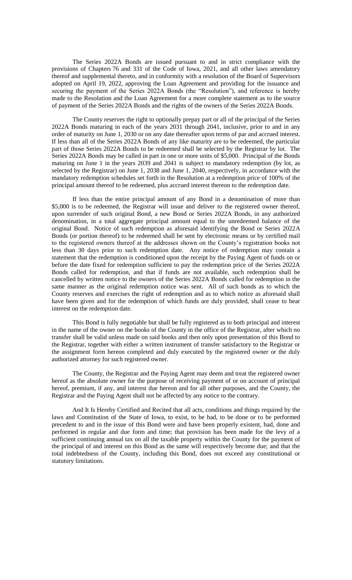The Series 2022A Bonds are issued pursuant to and in strict compliance with the provisions of Chapters 76 and 331 of the Code of Iowa, 2021, and all other laws amendatory thereof and supplemental thereto, and in conformity with a resolution of the Board of Supervisors adopted on April 19, 2022, approving the Loan Agreement and providing for the issuance and securing the payment of the Series 2022A Bonds (the "Resolution"), and reference is hereby made to the Resolution and the Loan Agreement for a more complete statement as to the source of payment of the Series 2022A Bonds and the rights of the owners of the Series 2022A Bonds.

The County reserves the right to optionally prepay part or all of the principal of the Series 2022A Bonds maturing in each of the years 2031 through 2041, inclusive, prior to and in any order of maturity on June 1, 2030 or on any date thereafter upon terms of par and accrued interest. If less than all of the Series 2022A Bonds of any like maturity are to be redeemed, the particular part of those Series 2022A Bonds to be redeemed shall be selected by the Registrar by lot. The Series 2022A Bonds may be called in part in one or more units of \$5,000. Principal of the Bonds maturing on June 1 in the years 2039 and 2041 is subject to mandatory redemption (by lot, as selected by the Registrar) on June 1, 2038 and June 1, 2040, respectively, in accordance with the mandatory redemption schedules set forth in the Resolution at a redemption price of 100% of the principal amount thereof to be redeemed, plus accrued interest thereon to the redemption date.

If less than the entire principal amount of any Bond in a denomination of more than \$5,000 is to be redeemed, the Registrar will issue and deliver to the registered owner thereof, upon surrender of such original Bond, a new Bond or Series 2022A Bonds, in any authorized denomination, in a total aggregate principal amount equal to the unredeemed balance of the original Bond. Notice of such redemption as aforesaid identifying the Bond or Series 2022A Bonds (or portion thereof) to be redeemed shall be sent by electronic means or by certified mail to the registered owners thereof at the addresses shown on the County's registration books not less than 30 days prior to such redemption date. Any notice of redemption may contain a statement that the redemption is conditioned upon the receipt by the Paying Agent of funds on or before the date fixed for redemption sufficient to pay the redemption price of the Series 2022A Bonds called for redemption, and that if funds are not available, such redemption shall be cancelled by written notice to the owners of the Series 2022A Bonds called for redemption in the same manner as the original redemption notice was sent. All of such bonds as to which the County reserves and exercises the right of redemption and as to which notice as aforesaid shall have been given and for the redemption of which funds are duly provided, shall cease to bear interest on the redemption date.

This Bond is fully negotiable but shall be fully registered as to both principal and interest in the name of the owner on the books of the County in the office of the Registrar, after which no transfer shall be valid unless made on said books and then only upon presentation of this Bond to the Registrar, together with either a written instrument of transfer satisfactory to the Registrar or the assignment form hereon completed and duly executed by the registered owner or the duly authorized attorney for such registered owner.

The County, the Registrar and the Paying Agent may deem and treat the registered owner hereof as the absolute owner for the purpose of receiving payment of or on account of principal hereof, premium, if any, and interest due hereon and for all other purposes, and the County, the Registrar and the Paying Agent shall not be affected by any notice to the contrary.

And It Is Hereby Certified and Recited that all acts, conditions and things required by the laws and Constitution of the State of Iowa, to exist, to be had, to be done or to be performed precedent to and in the issue of this Bond were and have been properly existent, had, done and performed in regular and due form and time; that provision has been made for the levy of a sufficient continuing annual tax on all the taxable property within the County for the payment of the principal of and interest on this Bond as the same will respectively become due; and that the total indebtedness of the County, including this Bond, does not exceed any constitutional or statutory limitations.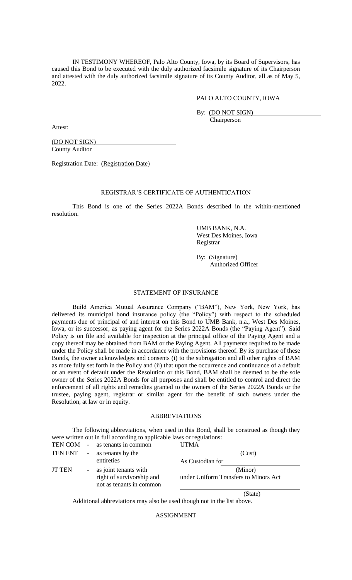IN TESTIMONY WHEREOF, Palo Alto County, Iowa, by its Board of Supervisors, has caused this Bond to be executed with the duly authorized facsimile signature of its Chairperson and attested with the duly authorized facsimile signature of its County Auditor, all as of May 5, 2022.

## PALO ALTO COUNTY, IOWA

By: (DO NOT SIGN)

Chairperson

Attest:

(DO NOT SIGN) County Auditor

Registration Date: (Registration Date)

# REGISTRAR'S CERTIFICATE OF AUTHENTICATION

This Bond is one of the Series 2022A Bonds described in the within-mentioned resolution.

> UMB BANK, N.A. West Des Moines, Iowa Registrar

> By: (Signature) Authorized Officer

# STATEMENT OF INSURANCE

Build America Mutual Assurance Company ("BAM"), New York, New York, has delivered its municipal bond insurance policy (the "Policy") with respect to the scheduled payments due of principal of and interest on this Bond to UMB Bank, n.a., West Des Moines, Iowa, or its successor, as paying agent for the Series 2022A Bonds (the "Paying Agent"). Said Policy is on file and available for inspection at the principal office of the Paying Agent and a copy thereof may be obtained from BAM or the Paying Agent. All payments required to be made under the Policy shall be made in accordance with the provisions thereof. By its purchase of these Bonds, the owner acknowledges and consents (i) to the subrogation and all other rights of BAM as more fully set forth in the Policy and (ii) that upon the occurrence and continuance of a default or an event of default under the Resolution or this Bond, BAM shall be deemed to be the sole owner of the Series 2022A Bonds for all purposes and shall be entitled to control and direct the enforcement of all rights and remedies granted to the owners of the Series 2022A Bonds or the trustee, paying agent, registrar or similar agent for the benefit of such owners under the Resolution, at law or in equity.

### ABBREVIATIONS

The following abbreviations, when used in this Bond, shall be construed as though they were written out in full according to applicable laws or regulations: TEN COM - as tenants in common UTMA

| TEN ENT       | $\sim$ | as tenants by the                                                                | (Cust)                                           |
|---------------|--------|----------------------------------------------------------------------------------|--------------------------------------------------|
|               |        | entireties                                                                       | As Custodian for                                 |
| <b>JT TEN</b> |        | - as joint tenants with<br>right of survivorship and<br>not as tenants in common | (Minor)<br>under Uniform Transfers to Minors Act |
|               |        |                                                                                  | 'State)                                          |

Additional abbreviations may also be used though not in the list above.

ASSIGNMENT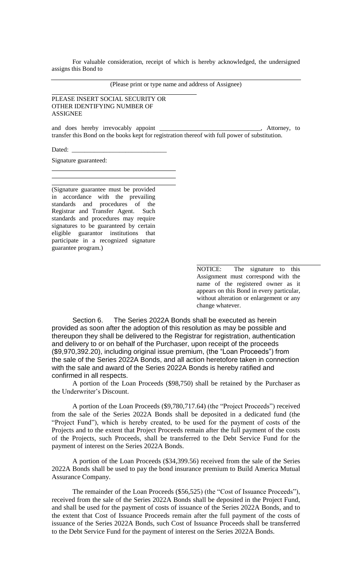For valuable consideration, receipt of which is hereby acknowledged, the undersigned assigns this Bond to

(Please print or type name and address of Assignee)

PLEASE INSERT SOCIAL SECURITY OR OTHER IDENTIFYING NUMBER OF ASSIGNEE

and does hereby irrevocably appoint \_\_\_\_\_\_\_\_\_\_\_\_\_\_\_\_\_\_\_\_\_\_\_\_\_\_\_\_\_\_, Attorney, to transfer this Bond on the books kept for registration thereof with full power of substitution.

Dated:

Signature guaranteed:

(Signature guarantee must be provided in accordance with the prevailing standards and procedures of the Registrar and Transfer Agent. Such standards and procedures may require signatures to be guaranteed by certain eligible guarantor institutions that participate in a recognized signature guarantee program.)

> NOTICE: The signature to this Assignment must correspond with the name of the registered owner as it appears on this Bond in every particular, without alteration or enlargement or any change whatever.

Section 6. The Series 2022A Bonds shall be executed as herein provided as soon after the adoption of this resolution as may be possible and thereupon they shall be delivered to the Registrar for registration, authentication and delivery to or on behalf of the Purchaser, upon receipt of the proceeds (\$9,970,392.20), including original issue premium, (the "Loan Proceeds") from the sale of the Series 2022A Bonds, and all action heretofore taken in connection with the sale and award of the Series 2022A Bonds is hereby ratified and confirmed in all respects.

A portion of the Loan Proceeds (\$98,750) shall be retained by the Purchaser as the Underwriter's Discount.

A portion of the Loan Proceeds (\$9,780,717.64) (the "Project Proceeds") received from the sale of the Series 2022A Bonds shall be deposited in a dedicated fund (the "Project Fund"), which is hereby created, to be used for the payment of costs of the Projects and to the extent that Project Proceeds remain after the full payment of the costs of the Projects, such Proceeds, shall be transferred to the Debt Service Fund for the payment of interest on the Series 2022A Bonds.

A portion of the Loan Proceeds (\$34,399.56) received from the sale of the Series 2022A Bonds shall be used to pay the bond insurance premium to Build America Mutual Assurance Company.

The remainder of the Loan Proceeds (\$56,525) (the "Cost of Issuance Proceeds"), received from the sale of the Series 2022A Bonds shall be deposited in the Project Fund, and shall be used for the payment of costs of issuance of the Series 2022A Bonds, and to the extent that Cost of Issuance Proceeds remain after the full payment of the costs of issuance of the Series 2022A Bonds, such Cost of Issuance Proceeds shall be transferred to the Debt Service Fund for the payment of interest on the Series 2022A Bonds.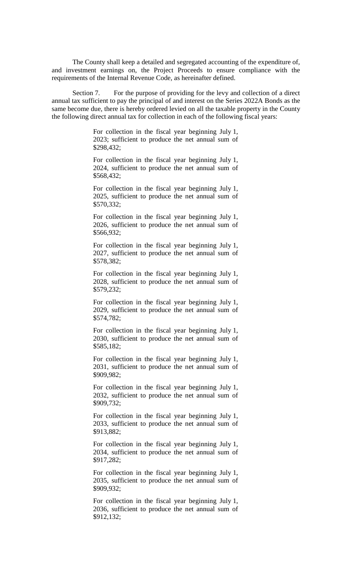The County shall keep a detailed and segregated accounting of the expenditure of, and investment earnings on, the Project Proceeds to ensure compliance with the requirements of the Internal Revenue Code, as hereinafter defined.

Section 7. For the purpose of providing for the levy and collection of a direct annual tax sufficient to pay the principal of and interest on the Series 2022A Bonds as the same become due, there is hereby ordered levied on all the taxable property in the County the following direct annual tax for collection in each of the following fiscal years:

> For collection in the fiscal year beginning July 1, 2023; sufficient to produce the net annual sum of \$298,432;

> For collection in the fiscal year beginning July 1, 2024, sufficient to produce the net annual sum of \$568,432;

> For collection in the fiscal year beginning July 1, 2025, sufficient to produce the net annual sum of \$570,332;

> For collection in the fiscal year beginning July 1, 2026, sufficient to produce the net annual sum of \$566,932;

> For collection in the fiscal year beginning July 1, 2027, sufficient to produce the net annual sum of \$578,382;

> For collection in the fiscal year beginning July 1, 2028, sufficient to produce the net annual sum of \$579,232;

> For collection in the fiscal year beginning July 1, 2029, sufficient to produce the net annual sum of \$574,782;

> For collection in the fiscal year beginning July 1, 2030, sufficient to produce the net annual sum of \$585,182;

> For collection in the fiscal year beginning July 1, 2031, sufficient to produce the net annual sum of \$909,982;

> For collection in the fiscal year beginning July 1, 2032, sufficient to produce the net annual sum of \$909,732;

> For collection in the fiscal year beginning July 1, 2033, sufficient to produce the net annual sum of \$913,882;

> For collection in the fiscal year beginning July 1, 2034, sufficient to produce the net annual sum of \$917,282;

> For collection in the fiscal year beginning July 1, 2035, sufficient to produce the net annual sum of \$909,932;

> For collection in the fiscal year beginning July 1, 2036, sufficient to produce the net annual sum of \$912,132;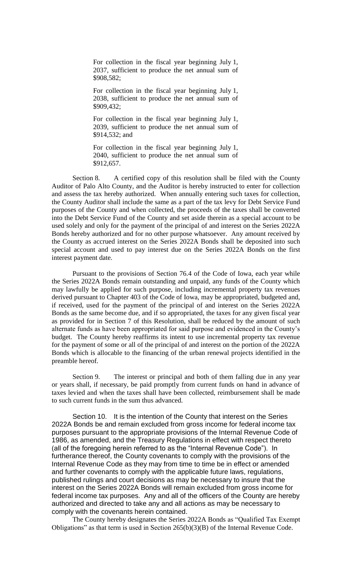For collection in the fiscal year beginning July 1, 2037, sufficient to produce the net annual sum of \$908,582;

For collection in the fiscal year beginning July 1, 2038, sufficient to produce the net annual sum of \$909,432;

For collection in the fiscal year beginning July 1, 2039, sufficient to produce the net annual sum of \$914,532; and

For collection in the fiscal year beginning July 1, 2040, sufficient to produce the net annual sum of \$912,657.

Section 8. A certified copy of this resolution shall be filed with the County Auditor of Palo Alto County, and the Auditor is hereby instructed to enter for collection and assess the tax hereby authorized. When annually entering such taxes for collection, the County Auditor shall include the same as a part of the tax levy for Debt Service Fund purposes of the County and when collected, the proceeds of the taxes shall be converted into the Debt Service Fund of the County and set aside therein as a special account to be used solely and only for the payment of the principal of and interest on the Series 2022A Bonds hereby authorized and for no other purpose whatsoever. Any amount received by the County as accrued interest on the Series 2022A Bonds shall be deposited into such special account and used to pay interest due on the Series 2022A Bonds on the first interest payment date.

Pursuant to the provisions of Section 76.4 of the Code of Iowa, each year while the Series 2022A Bonds remain outstanding and unpaid, any funds of the County which may lawfully be applied for such purpose, including incremental property tax revenues derived pursuant to Chapter 403 of the Code of Iowa, may be appropriated, budgeted and, if received, used for the payment of the principal of and interest on the Series 2022A Bonds as the same become due, and if so appropriated, the taxes for any given fiscal year as provided for in Section 7 of this Resolution, shall be reduced by the amount of such alternate funds as have been appropriated for said purpose and evidenced in the County's budget. The County hereby reaffirms its intent to use incremental property tax revenue for the payment of some or all of the principal of and interest on the portion of the 2022A Bonds which is allocable to the financing of the urban renewal projects identified in the preamble hereof.

Section 9. The interest or principal and both of them falling due in any year or years shall, if necessary, be paid promptly from current funds on hand in advance of taxes levied and when the taxes shall have been collected, reimbursement shall be made to such current funds in the sum thus advanced.

Section 10. It is the intention of the County that interest on the Series 2022A Bonds be and remain excluded from gross income for federal income tax purposes pursuant to the appropriate provisions of the Internal Revenue Code of 1986, as amended, and the Treasury Regulations in effect with respect thereto (all of the foregoing herein referred to as the "Internal Revenue Code"). In furtherance thereof, the County covenants to comply with the provisions of the Internal Revenue Code as they may from time to time be in effect or amended and further covenants to comply with the applicable future laws, regulations, published rulings and court decisions as may be necessary to insure that the interest on the Series 2022A Bonds will remain excluded from gross income for federal income tax purposes. Any and all of the officers of the County are hereby authorized and directed to take any and all actions as may be necessary to comply with the covenants herein contained.

The County hereby designates the Series 2022A Bonds as "Qualified Tax Exempt Obligations" as that term is used in Section  $265(b)(3)(B)$  of the Internal Revenue Code.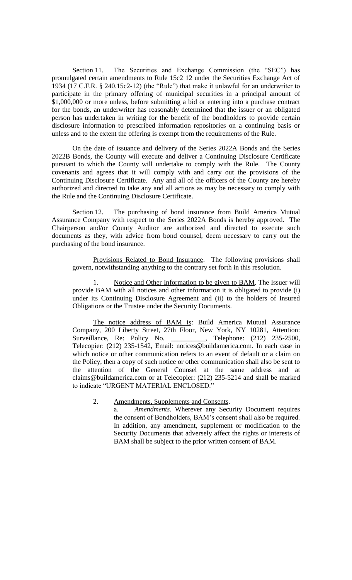Section 11. The Securities and Exchange Commission (the "SEC") has promulgated certain amendments to Rule 15c2 12 under the Securities Exchange Act of 1934 (17 C.F.R. § 240.15c2-12) (the "Rule") that make it unlawful for an underwriter to participate in the primary offering of municipal securities in a principal amount of \$1,000,000 or more unless, before submitting a bid or entering into a purchase contract for the bonds, an underwriter has reasonably determined that the issuer or an obligated person has undertaken in writing for the benefit of the bondholders to provide certain disclosure information to prescribed information repositories on a continuing basis or unless and to the extent the offering is exempt from the requirements of the Rule.

On the date of issuance and delivery of the Series 2022A Bonds and the Series 2022B Bonds, the County will execute and deliver a Continuing Disclosure Certificate pursuant to which the County will undertake to comply with the Rule. The County covenants and agrees that it will comply with and carry out the provisions of the Continuing Disclosure Certificate. Any and all of the officers of the County are hereby authorized and directed to take any and all actions as may be necessary to comply with the Rule and the Continuing Disclosure Certificate.

Section 12. The purchasing of bond insurance from Build America Mutual Assurance Company with respect to the Series 2022A Bonds is hereby approved. The Chairperson and/or County Auditor are authorized and directed to execute such documents as they, with advice from bond counsel, deem necessary to carry out the purchasing of the bond insurance.

Provisions Related to Bond Insurance. The following provisions shall govern, notwithstanding anything to the contrary set forth in this resolution.

1. Notice and Other Information to be given to BAM. The Issuer will provide BAM with all notices and other information it is obligated to provide (i) under its Continuing Disclosure Agreement and (ii) to the holders of Insured Obligations or the Trustee under the Security Documents.

The notice address of BAM is: Build America Mutual Assurance Company, 200 Liberty Street, 27th Floor, New York, NY 10281, Attention: Surveillance, Re: Policy No. \_\_\_\_\_\_\_\_\_\_, Telephone: (212) 235-2500, Telecopier: (212) 235-1542, Email: notices@buildamerica.com. In each case in which notice or other communication refers to an event of default or a claim on the Policy, then a copy of such notice or other communication shall also be sent to the attention of the General Counsel at the same address and at claims@buildamerica.com or at Telecopier: (212) 235-5214 and shall be marked to indicate "URGENT MATERIAL ENCLOSED."

## 2. Amendments, Supplements and Consents.

a. *Amendments*. Wherever any Security Document requires the consent of Bondholders, BAM's consent shall also be required. In addition, any amendment, supplement or modification to the Security Documents that adversely affect the rights or interests of BAM shall be subject to the prior written consent of BAM.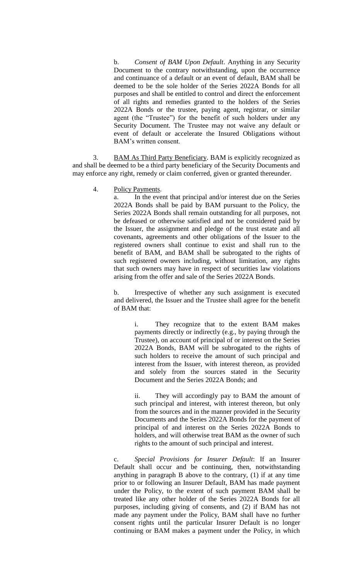b. *Consent of BAM Upon Default*. Anything in any Security Document to the contrary notwithstanding, upon the occurrence and continuance of a default or an event of default, BAM shall be deemed to be the sole holder of the Series 2022A Bonds for all purposes and shall be entitled to control and direct the enforcement of all rights and remedies granted to the holders of the Series 2022A Bonds or the trustee, paying agent, registrar, or similar agent (the "Trustee") for the benefit of such holders under any Security Document. The Trustee may not waive any default or event of default or accelerate the Insured Obligations without BAM's written consent.

3. BAM As Third Party Beneficiary. BAM is explicitly recognized as and shall be deemed to be a third party beneficiary of the Security Documents and may enforce any right, remedy or claim conferred, given or granted thereunder.

4. Policy Payments.

a. In the event that principal and/or interest due on the Series 2022A Bonds shall be paid by BAM pursuant to the Policy, the Series 2022A Bonds shall remain outstanding for all purposes, not be defeased or otherwise satisfied and not be considered paid by the Issuer, the assignment and pledge of the trust estate and all covenants, agreements and other obligations of the Issuer to the registered owners shall continue to exist and shall run to the benefit of BAM, and BAM shall be subrogated to the rights of such registered owners including, without limitation, any rights that such owners may have in respect of securities law violations arising from the offer and sale of the Series 2022A Bonds.

b. Irrespective of whether any such assignment is executed and delivered, the Issuer and the Trustee shall agree for the benefit of BAM that:

> i. They recognize that to the extent BAM makes payments directly or indirectly (e.g., by paying through the Trustee), on account of principal of or interest on the Series 2022A Bonds, BAM will be subrogated to the rights of such holders to receive the amount of such principal and interest from the Issuer, with interest thereon, as provided and solely from the sources stated in the Security Document and the Series 2022A Bonds; and

> ii. They will accordingly pay to BAM the amount of such principal and interest, with interest thereon, but only from the sources and in the manner provided in the Security Documents and the Series 2022A Bonds for the payment of principal of and interest on the Series 2022A Bonds to holders, and will otherwise treat BAM as the owner of such rights to the amount of such principal and interest.

c. *Special Provisions for Insurer Default*: If an Insurer Default shall occur and be continuing, then, notwithstanding anything in paragraph B above to the contrary, (1) if at any time prior to or following an Insurer Default, BAM has made payment under the Policy, to the extent of such payment BAM shall be treated like any other holder of the Series 2022A Bonds for all purposes, including giving of consents, and (2) if BAM has not made any payment under the Policy, BAM shall have no further consent rights until the particular Insurer Default is no longer continuing or BAM makes a payment under the Policy, in which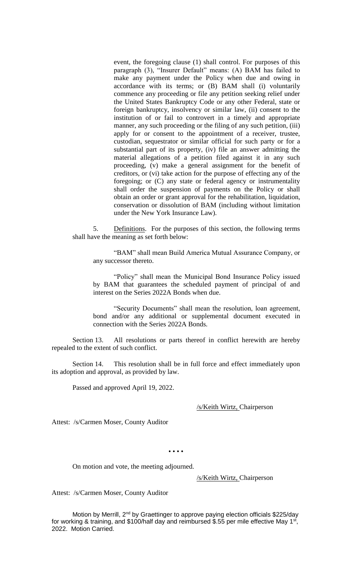event, the foregoing clause (1) shall control. For purposes of this paragraph (3), "Insurer Default" means: (A) BAM has failed to make any payment under the Policy when due and owing in accordance with its terms; or (B) BAM shall (i) voluntarily commence any proceeding or file any petition seeking relief under the United States Bankruptcy Code or any other Federal, state or foreign bankruptcy, insolvency or similar law, (ii) consent to the institution of or fail to controvert in a timely and appropriate manner, any such proceeding or the filing of any such petition, (iii) apply for or consent to the appointment of a receiver, trustee, custodian, sequestrator or similar official for such party or for a substantial part of its property, (iv) file an answer admitting the material allegations of a petition filed against it in any such proceeding, (v) make a general assignment for the benefit of creditors, or (vi) take action for the purpose of effecting any of the foregoing; or (C) any state or federal agency or instrumentality shall order the suspension of payments on the Policy or shall obtain an order or grant approval for the rehabilitation, liquidation, conservation or dissolution of BAM (including without limitation under the New York Insurance Law).

5. Definitions. For the purposes of this section, the following terms shall have the meaning as set forth below:

"BAM" shall mean Build America Mutual Assurance Company, or any successor thereto.

"Policy" shall mean the Municipal Bond Insurance Policy issued by BAM that guarantees the scheduled payment of principal of and interest on the Series 2022A Bonds when due.

"Security Documents" shall mean the resolution, loan agreement, bond and/or any additional or supplemental document executed in connection with the Series 2022A Bonds.

Section 13. All resolutions or parts thereof in conflict herewith are hereby repealed to the extent of such conflict.

Section 14. This resolution shall be in full force and effect immediately upon its adoption and approval, as provided by law.

Passed and approved April 19, 2022.

### /s/Keith Wirtz, Chairperson

Attest: /s/Carmen Moser, County Auditor

• • • •

On motion and vote, the meeting adjourned.

/s/Keith Wirtz, Chairperson

Attest: /s/Carmen Moser, County Auditor

Motion by Merrill, 2<sup>nd</sup> by Graettinger to approve paying election officials \$225/day for working & training, and \$100/half day and reimbursed \$.55 per mile effective May 1<sup>st</sup>, 2022. Motion Carried.